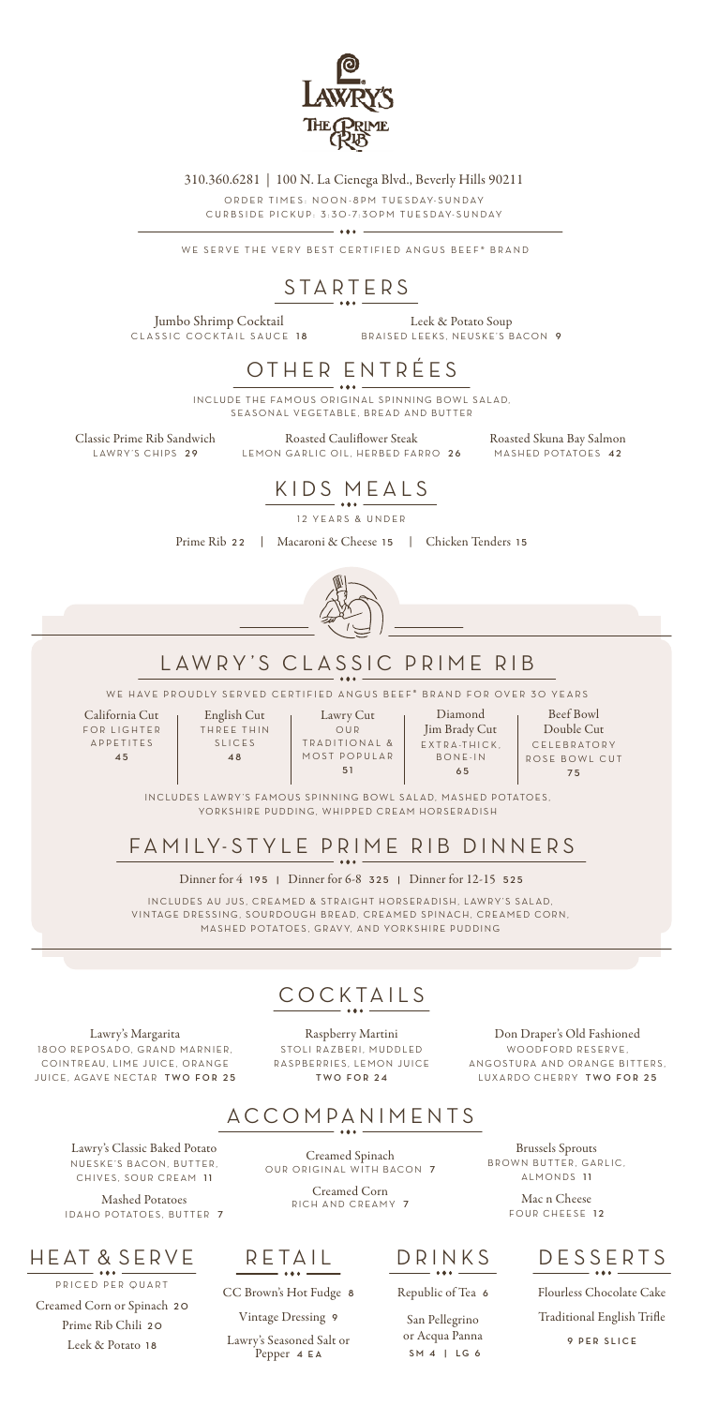California Cut FOR LIGHTER APPETITES **4 5**

English Cut THREE THIN SLICES **4 8**

Lawry Cut OUR TRADITIONAL & MOST POPULAR **5 1**

Diamond Jim Brady Cut EXTRA-THICK, BONE-IN  **65**

Beef Bowl Double Cut CELEBRATORY ROSE BOWL CUT **7 5**

# LAWRY 'S CLASSIC PRIME RIB

WE HAVE PROUDLY SERVED CERTIFIED ANGUS BEEF® BRAND FOR OVER 30 YEARS

INCLUDES LAWRY'S FAMOUS SPINNING BOWL SALAD, MASHED POTATOES, YORKSHIRE PUDDING, WHIPPED CREAM HORSERADISH

### FA MILY-STYLE PRIME RIB DINNERS

WE SERVE THE VERY BEST CERTIFIED ANGUS BEEF® BRAND



310.360.6281 | 100 N. La Cienega Blvd., Beverly Hills 90211

ORDER TIMES: NOON-8PM TUESDAY-SUNDAY CURBSIDE PICKUP: 3:30-7:30PM TUESDAY-SUNDAY

Lawry's Classic Baked Potato NUESKE'S BACON, BUTTER, CHIVES, SOUR CREAM 11

Mashed Potatoes IDAHO POTATOES, BUTTER 7

Mac n Cheese FOUR CHEESE 12

Jumbo Shrimp Cocktail CLASSIC COCKTAIL SAUCE 18

Classic Prime Rib Sandwich LAWRY'S CHIPS 29

Roasted Skuna Bay Salmon MASHED POTATOES 42

Dinner for 4 **195 |** Dinner for 6-8 **325 |** Dinner for 12-15 **525**

IN CLUDES AU JUS, CREAMED & STRAIGHT HORSERADISH, LAWRY'S SALAD, VINTAGE DRESSING, SOURDOUGH BREAD, CREAMED SPINACH, CREAMED CORN. MASHED POTATOES, GRAVY, AND YORKSHIRE PUDDING

### ACCOMPANIMENTS

Creamed Spinach OUR ORIGINAL WITH BACON **7**

Lawry's Margarita 1800 REPOSADO, GRAND MARNIER, COINTREAU, LIME JUICE, ORANGE JUICE, AGAVE NECTAR TWO FOR 25

> Creamed Corn RICH AND CREAMY **7**

Brussels Sprouts BROWN BUTTER, GARLIC, ALMONDS **1 1**

DRINKS

Republic of Tea **6**

San Pellegrino or Acqua Panna  **SM 4 | LG 6**

RETAIL

CC Brown's Hot Fudge **8** Vintage Dressing **9** Lawry's Seasoned Salt or

Pepper **4 EA**

### HEAT & SERVE

PRICED PER QUART Creamed Corn or Spinach **2 0** Prime Rib Chili **2 0** Leek & Potato **1 8**

# STARTERS

Leek & Potato Soup BRAISED LEEKS, NEUSKE'S BACON **9**

## DESSERTS

Flourless Chocolate Cake

Traditional English Trifle

**9 PER SLICE**

# KIDS MEALS

12 YEARS & UNDER

Prime Rib **22** |Macaroni & Cheese **15** |Chicken Tenders **1 5**



# OTHER ENTRÉES

INCLUDE THE FAMOUS ORIGINAL SPINNING BOWL SALAD, SEASONAL VEGETABLE, BREAD AND BUTTER

> Roasted Cauliflower Steak LEMON GARLIC OIL, HERBED FARRO **2 6**



Raspberry Martini STOLI RAZBERI, MUDDLED RASPBERRIES, LEMON JUICE **TWO FOR 24**

Don Draper's Old Fashioned WOODFORD RESERVE, ANGOSTURA AND ORANGE BITTERS, LUXARDO CHERRY **TWO FOR 25**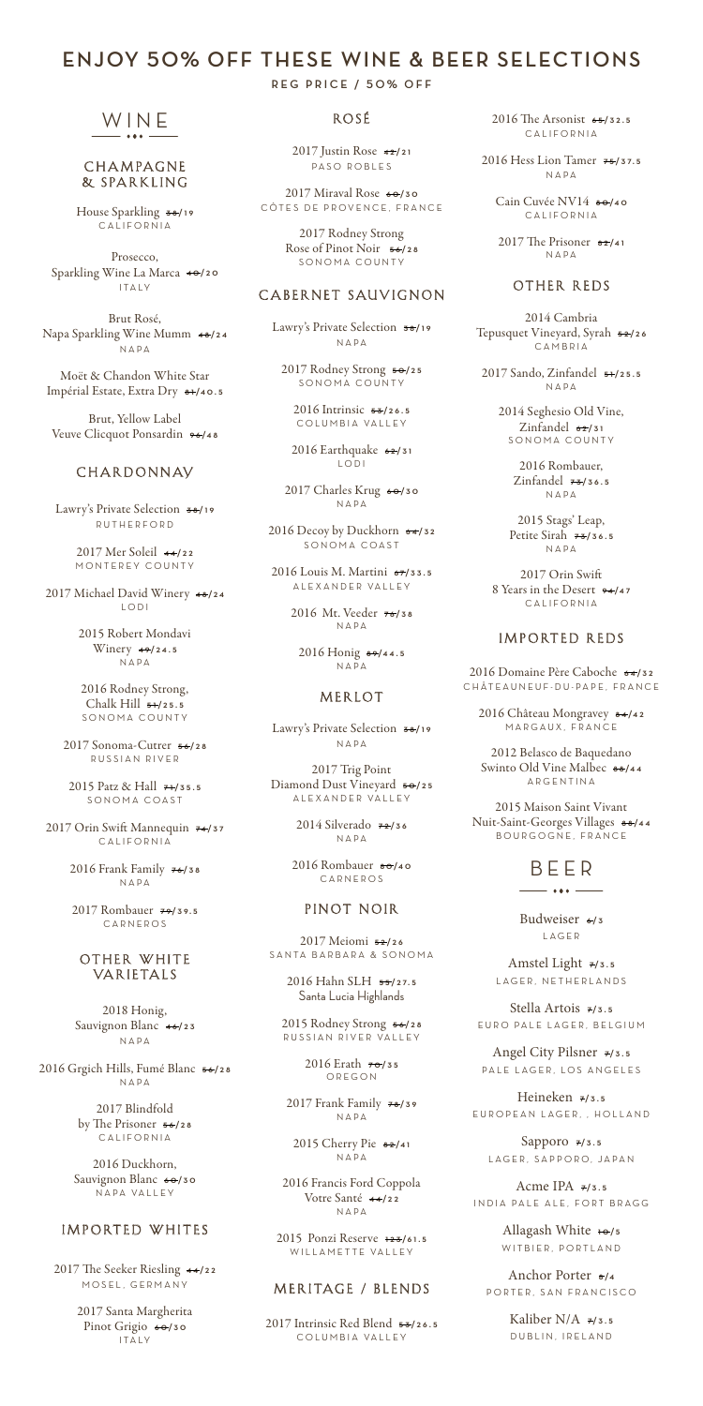# WINE

#### **CHAMPAGNE** & SPARKLING

House Sparkling  $\frac{1}{2}$  **3** CALIFORNIA

Moët & Chandon White Star Impérial Estate, Extra Dry  $\frac{8+1}{40.5}$ 

Prosecco, Sparkling Wine La Marca  $\ast \bullet$ /20 I TA LY

Brut Rosé, Napa Sparkling Wine Mumm **4 8 /24** NAPA

Brut, Yellow Label Veuve Clicquot Ponsardin **9 6 /4 8**

### **CHARDONNAV**

2017 Orin Swift Mannequin  $74/37$ CALIFORNIA

Lawry's Private Selection **3 8 /19** RUTHERFORD

> 2017 Mer Soleil **4 4 /22** MONTEREY COUNTY

2017 Michael David Winery **4 8 /24** LODI

> 2016 Duckhorn, Sauvignon Blanc  $\frac{60}{30}$ NAPA VALLEY

#### IMPORTED WHITES

2015 Robert Mondavi Winery  $49/24.5$ NAPA

2016 Rodney Strong, Chalk Hill **5 1 /25.5** SONOMA COUNTY

2017 Sonoma-Cutrer **5 6 /28** RUSSIAN RIVER

2015 Patz & Hall **7 1 /35.5** SONOMA COAST

2016 Frank Family **7 6 /38** NAPA

2016 Intrinsic **5 3 /26.5** COLUMBIA VALLEY

2017 Rombauer **7 9 /39.5** CARNEROS

OTHER WHITE VARIETALS

2017 Charles Krug  $60/30$ NAPA

2018 Honig, Sauvignon Blanc **4 6 /23** NAPA

2016 Grgich Hills, Fumé Blanc **5 6 /28** NAPA

2017 Trig Point Diamond Dust Vineyard  $\frac{1}{5}$  <del>0</del>/25 A L E X A N D E R VA L L E Y

2017 Blindfold by The Prisoner **5 6 /28** CALIFORNIA

2015 Rodney Strong **5 6 /28** RUSSIAN RIVER VALLEY

2017 The Seeker Riesling **4 4 /22** MOSEL, GERMANY

> 2017 Santa Margherita Pinot Grigio  $60/30$ I TA LY

2015 Ponzi Reserve **123 /6 1 . 5** WILLAMETTE VALLEY

#### MERITAGE / BLENDS

### **ENJOY 50% OFF THESE WINE & BEER SELECTIONS**

2017 Intrinsic Red Blend **5 3 /26.5** COLUMBIA VALLEY

#### **REG PRICE / 50% OFF**

### ROSÉ

2017 Justin Rose **4 2 /21** PASO ROBLES

> Cain Cuvée NV14  $\frac{1}{2}$  **80**/40 CALIFORNIA

2017 Miraval Rose **6 0 /30** CÔTES DE PROVENCE, FRANCE

> 2017 The Prisoner  $\frac{82}{41}$ NAPA

2017 Rodney Strong Rose of Pinot Noir **5 6 /28** SONOMA COUNTY

#### CABERNET SAUVIGNON

Lawry's Private Selection **3 8 /19** NAPA

2017 Rodney Strong **5 0 /25** SONOMA COUNTY

2016 Earthquake **6 2 /31** LODI

2016 Decoy by Duckhorn **6 4 /32** SONOMA COAST

2016 Louis M. Martini  $\frac{67}{33.5}$ A L E X A N D E R VA L L E Y

> 2016 Mt. Veeder **7 6 /38** NAPA

> > Sapporo  $7/3.5$ LAGER, SAPPORO, JAPAN

2016 Honig **8 9 /4 4 . 5** NAPA

> Acme IPA  $\overline{7}/3.5$ INDIA PALE ALE, FORT BRAGG

#### MERLOT

Allagash White **10**/5 WITBIER, PORTLAND

Lawry's Private Selection **3 8 /19** NAPA

> Kaliber N/A  $7/3.5$ DUBLIN, IRELAND

2014 Silverado **7 2 /36** NAPA

2016 Rombauer **8 0 /4 0** CARNEROS

#### PINOT NOIR

2017 Meiomi **5 2 /26** SANTA BARBARA & SONOMA

> 2016 Hahn SLH **5 5 /2 7. 5** Santa Lucia Highlands

> > 2016 Erath **7 0 /35** OREGON

2017 Frank Family **7 8 /39** NAPA

2015 Cherry Pie **8 2 /4 1** NAPA

2016 Francis Ford Coppola Votre Santé **4 4 /22** NAPA

2016 The Arsonist **6 5 /32.5** CALIFORNIA

2016 Hess Lion Tamer **7 5 /3 7. 5** NAPA

#### OTHER REDS

2014 Cambria Tepusquet Vineyard, Syrah 52/26 CAMBRIA

2017 Sando, Zinfandel **5 1 /25.5** NAPA

2014 Seghesio Old Vine, Zinfandel  $62/31$ SONOMA COUNTY

> 2016 Rombauer, Zinfandel **7 3 /36.5** NAPA

2015 Stags' Leap, Petite Sirah  $7\frac{1}{3}$  36.5 NAPA

2017 Orin Swift 8 Years in the Desert  $94/47$ CALIFORNIA

#### IMPORTED REDS

2016 Domaine Père Caboche **6 4 /32** CHÂTEAUNEUF-DU-PAPE , FRANCE

2016 Château Mongravey **8 4 /4 2** MARGAUX, FRANCE

2012 Belasco de Baquedano Swinto Old Vine Malbec **8 8 /4 4** ARGENTINA

2015 Maison Saint Vivant Nuit-Saint-Georges Villages **8 8 /4 4** BOURGOGNE, FRANCE

### BEER

 $-$  +++  $-$ 

Budweiser **<sup>6</sup> / 3** LAGER

Amstel Light  $7/3.5$ 

LAGER, NETHERLANDS

Stella Artois **7/3.5** EURO PALE LAGER, BELGIUM

Angel City Pilsner **7/3.5** PALE LAGER, LOS ANGELES

Heineken **7/3.5** EUROPEAN LAGER, , HOLLAND

Anchor Porter **<sup>8</sup> /4** PORTER, SAN FRANCISCO